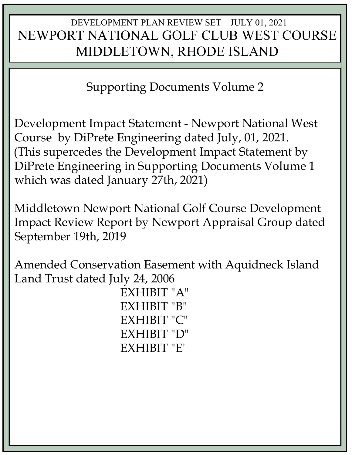# DEVELOPMENT PLAN REVIEW SET JULY 01, 2021 NEWPORT NATIONAL GOLF CLUB WEST COURSE MIDDLETOWN, RHODE ISLAND

Supporting Documents Volume 2

Development Impact Statement - Newport National West Course by DiPrete Engineering dated July, 01, 2021. (This supercedes the Development Impact Statement by DiPrete Engineering in Supporting Documents Volume 1 which was dated January 27th, 2021)

Middletown Newport National Golf Course Development Impact Review Report by Newport Appraisal Group dated September 19th, 2019

Amended Conservation Easement with Aquidneck Island Land Trust dated July 24, 2006

 EXHIBIT "A" EXHIBIT "B" EXHIBIT "C" EXHIBIT "D" EXHIBIT "E'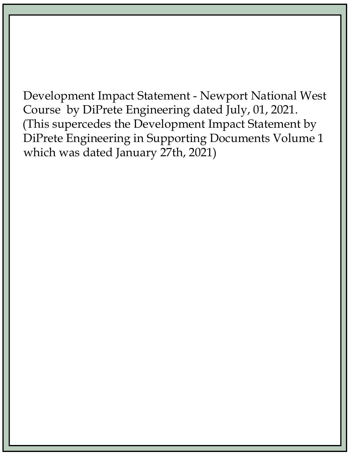Development Impact Statement - Newport National West Course by DiPrete Engineering dated July, 01, 2021. (This supercedes the Development Impact Statement by DiPrete Engineering in Supporting Documents Volume 1 which was dated January 27th, 2021)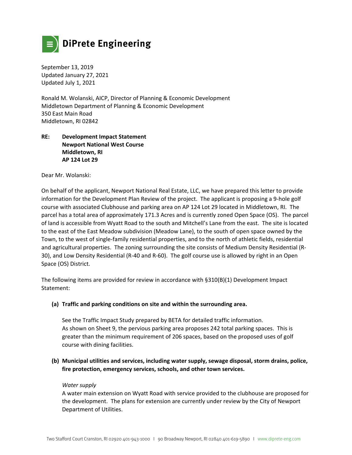

September 13, 2019 Updated January 27, 2021 Updated July 1, 2021

Ronald M. Wolanski, AICP, Director of Planning & Economic Development Middletown Department of Planning & Economic Development 350 East Main Road Middletown, RI 02842

### **RE: Development Impact Statement Newport National West Course Middletown, RI AP 124 Lot 29**

Dear Mr. Wolanski:

On behalf of the applicant, Newport National Real Estate, LLC, we have prepared this letter to provide information for the Development Plan Review of the project. The applicant is proposing a 9-hole golf course with associated Clubhouse and parking area on AP 124 Lot 29 located in Middletown, RI. The parcel has a total area of approximately 171.3 Acres and is currently zoned Open Space (OS). The parcel of land is accessible from Wyatt Road to the south and Mitchell's Lane from the east. The site is located to the east of the East Meadow subdivision (Meadow Lane), to the south of open space owned by the Town, to the west of single-family residential properties, and to the north of athletic fields, residential and agricultural properties. The zoning surrounding the site consists of Medium Density Residential (R-30), and Low Density Residential (R-40 and R-60). The golf course use is allowed by right in an Open Space (OS) District.

The following items are provided for review in accordance with §310(B)(1) Development Impact Statement:

**(a) Traffic and parking conditions on site and within the surrounding area.**

See the Traffic Impact Study prepared by BETA for detailed traffic information. As shown on Sheet 9, the pervious parking area proposes 242 total parking spaces. This is greater than the minimum requirement of 206 spaces, based on the proposed uses of golf course with dining facilities.

**(b) Municipal utilities and services, including water supply, sewage disposal, storm drains, police, fire protection, emergency services, schools, and other town services.**

#### *Water supply*

A water main extension on Wyatt Road with service provided to the clubhouse are proposed for the development. The plans for extension are currently under review by the City of Newport Department of Utilities.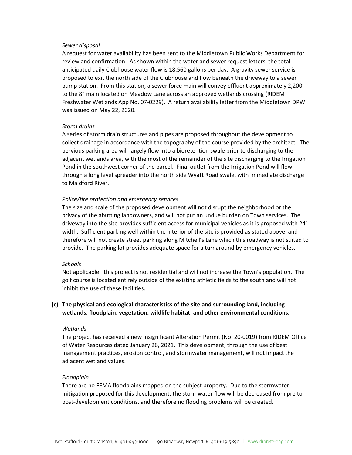#### *Sewer disposal*

A request for water availability has been sent to the Middletown Public Works Department for review and confirmation. As shown within the water and sewer request letters, the total anticipated daily Clubhouse water flow is 18,560 gallons per day. A gravity sewer service is proposed to exit the north side of the Clubhouse and flow beneath the driveway to a sewer pump station. From this station, a sewer force main will convey effluent approximately 2,200' to the 8" main located on Meadow Lane across an approved wetlands crossing (RIDEM Freshwater Wetlands App No. 07-0229). A return availability letter from the Middletown DPW was issued on May 22, 2020.

#### *Storm drains*

A series of storm drain structures and pipes are proposed throughout the development to collect drainage in accordance with the topography of the course provided by the architect. The pervious parking area will largely flow into a bioretention swale prior to discharging to the adjacent wetlands area, with the most of the remainder of the site discharging to the Irrigation Pond in the southwest corner of the parcel. Final outlet from the Irrigation Pond will flow through a long level spreader into the north side Wyatt Road swale, with immediate discharge to Maidford River.

#### *Police/fire protection and emergency services*

The size and scale of the proposed development will not disrupt the neighborhood or the privacy of the abutting landowners, and will not put an undue burden on Town services. The driveway into the site provides sufficient access for municipal vehicles as it is proposed with 24' width. Sufficient parking well within the interior of the site is provided as stated above, and therefore will not create street parking along Mitchell's Lane which this roadway is not suited to provide. The parking lot provides adequate space for a turnaround by emergency vehicles.

#### *Schools*

Not applicable: this project is not residential and will not increase the Town's population. The golf course is located entirely outside of the existing athletic fields to the south and will not inhibit the use of these facilities.

#### **(c) The physical and ecological characteristics of the site and surrounding land, including wetlands, floodplain, vegetation, wildlife habitat, and other environmental conditions.**

#### *Wetlands*

The project has received a new Insignificant Alteration Permit (No. 20-0019) from RIDEM Office of Water Resources dated January 26, 2021. This development, through the use of best management practices, erosion control, and stormwater management, will not impact the adjacent wetland values.

#### *Floodplain*

There are no FEMA floodplains mapped on the subject property. Due to the stormwater mitigation proposed for this development, the stormwater flow will be decreased from pre to post-development conditions, and therefore no flooding problems will be created.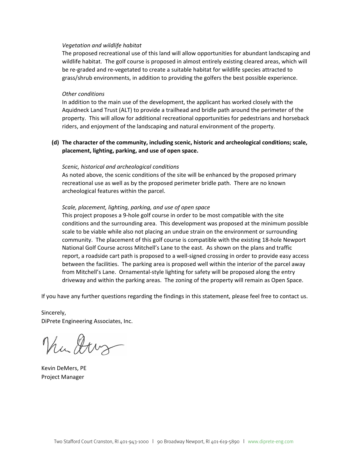#### *Vegetation and wildlife habitat*

The proposed recreational use of this land will allow opportunities for abundant landscaping and wildlife habitat. The golf course is proposed in almost entirely existing cleared areas, which will be re-graded and re-vegetated to create a suitable habitat for wildlife species attracted to grass/shrub environments, in addition to providing the golfers the best possible experience.

#### *Other conditions*

In addition to the main use of the development, the applicant has worked closely with the Aquidneck Land Trust (ALT) to provide a trailhead and bridle path around the perimeter of the property. This will allow for additional recreational opportunities for pedestrians and horseback riders, and enjoyment of the landscaping and natural environment of the property.

### **(d) The character of the community, including scenic, historic and archeological conditions; scale, placement, lighting, parking, and use of open space.**

#### *Scenic, historical and archeological conditions*

As noted above, the scenic conditions of the site will be enhanced by the proposed primary recreational use as well as by the proposed perimeter bridle path. There are no known archeological features within the parcel.

#### *Scale, placement, lighting, parking, and use of open space*

This project proposes a 9-hole golf course in order to be most compatible with the site conditions and the surrounding area. This development was proposed at the minimum possible scale to be viable while also not placing an undue strain on the environment or surrounding community. The placement of this golf course is compatible with the existing 18-hole Newport National Golf Course across Mitchell's Lane to the east. As shown on the plans and traffic report, a roadside cart path is proposed to a well-signed crossing in order to provide easy access between the facilities. The parking area is proposed well within the interior of the parcel away from Mitchell's Lane. Ornamental-style lighting for safety will be proposed along the entry driveway and within the parking areas. The zoning of the property will remain as Open Space.

If you have any further questions regarding the findings in this statement, please feel free to contact us.

Sincerely, DiPrete Engineering Associates, Inc.

Thu Drug

Kevin DeMers, PE Project Manager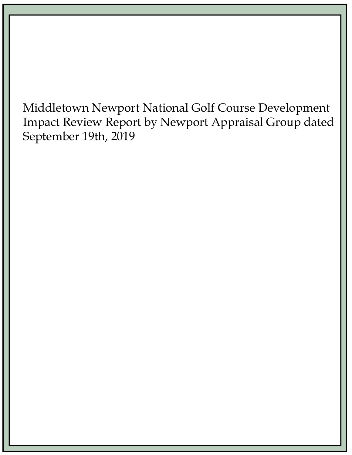Middletown Newport National Golf Course Development Impact Review Report by Newport Appraisal Group dated September 19th, 2019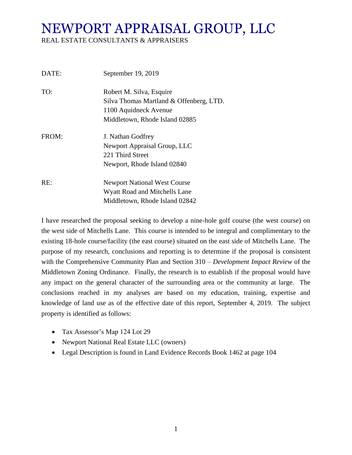# NEWPORT APPRAISAL GROUP, LLC

REAL ESTATE CONSULTANTS & APPRAISERS

| DATE: | September 19, 2019                      |
|-------|-----------------------------------------|
| TO:   | Robert M. Silva, Esquire                |
|       | Silva Thomas Martland & Offenberg, LTD. |
|       | 1100 Aquidneck Avenue                   |
|       | Middletown, Rhode Island 02885          |
| FROM: | J. Nathan Godfrey                       |
|       | Newport Appraisal Group, LLC            |
|       | 221 Third Street                        |
|       | Newport, Rhode Island 02840             |
| RE:   | <b>Newport National West Course</b>     |
|       | <b>Wyatt Road and Mitchells Lane</b>    |
|       | Middletown, Rhode Island 02842          |

I have researched the proposal seeking to develop a nine-hole golf course (the west course) on the west side of Mitchells Lane. This course is intended to be integral and complimentary to the existing 18-hole course/facility (the east course) situated on the east side of Mitchells Lane. The purpose of my research, conclusions and reporting is to determine if the proposal is consistent with the Comprehensive Community Plan and Section 310 – *Development Impact Review* of the Middletown Zoning Ordinance. Finally, the research is to establish if the proposal would have any impact on the general character of the surrounding area or the community at large. The conclusions reached in my analyses are based on my education, training, expertise and knowledge of land use as of the effective date of this report, September 4, 2019. The subject property is identified as follows:

- Tax Assessor's Map 124 Lot 29
- Newport National Real Estate LLC (owners)
- Legal Description is found in Land Evidence Records Book 1462 at page 104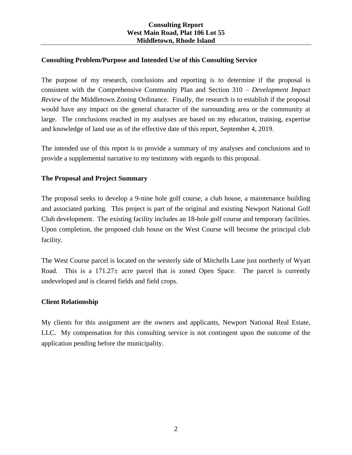# **Consulting Problem/Purpose and Intended Use of this Consulting Service**

The purpose of my research, conclusions and reporting is to determine if the proposal is consistent with the Comprehensive Community Plan and Section 310 – *Development Impact Review* of the Middletown Zoning Ordinance. Finally, the research is to establish if the proposal would have any impact on the general character of the surrounding area or the community at large. The conclusions reached in my analyses are based on my education, training, expertise and knowledge of land use as of the effective date of this report, September 4, 2019.

The intended use of this report is to provide a summary of my analyses and conclusions and to provide a supplemental narrative to my testimony with regards to this proposal.

# **The Proposal and Project Summary**

The proposal seeks to develop a 9-nine hole golf course, a club house, a maintenance building and associated parking. This project is part of the original and existing Newport National Golf Club development. The existing facility includes an 18-hole golf course and temporary facilities. Upon completion, the proposed club house on the West Course will become the principal club facility.

The West Course parcel is located on the westerly side of Mitchells Lane just northerly of Wyatt Road. This is a  $171.27\pm$  acre parcel that is zoned Open Space. The parcel is currently undeveloped and is cleared fields and field crops.

## **Client Relationship**

My clients for this assignment are the owners and applicants, Newport National Real Estate, LLC. My compensation for this consulting service is not contingent upon the outcome of the application pending before the municipality.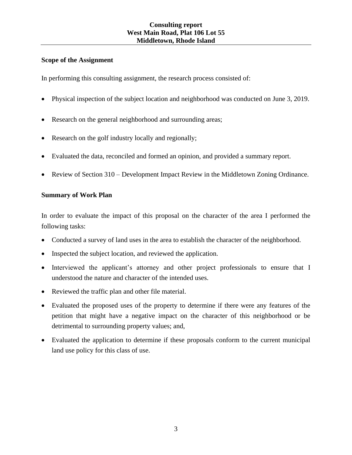## **Scope of the Assignment**

In performing this consulting assignment, the research process consisted of:

- Physical inspection of the subject location and neighborhood was conducted on June 3, 2019.
- Research on the general neighborhood and surrounding areas;
- Research on the golf industry locally and regionally;
- Evaluated the data, reconciled and formed an opinion, and provided a summary report.
- Review of Section 310 Development Impact Review in the Middletown Zoning Ordinance.

## **Summary of Work Plan**

In order to evaluate the impact of this proposal on the character of the area I performed the following tasks:

- Conducted a survey of land uses in the area to establish the character of the neighborhood.
- Inspected the subject location, and reviewed the application.
- Interviewed the applicant's attorney and other project professionals to ensure that I understood the nature and character of the intended uses.
- Reviewed the traffic plan and other file material.
- Evaluated the proposed uses of the property to determine if there were any features of the petition that might have a negative impact on the character of this neighborhood or be detrimental to surrounding property values; and,
- Evaluated the application to determine if these proposals conform to the current municipal land use policy for this class of use.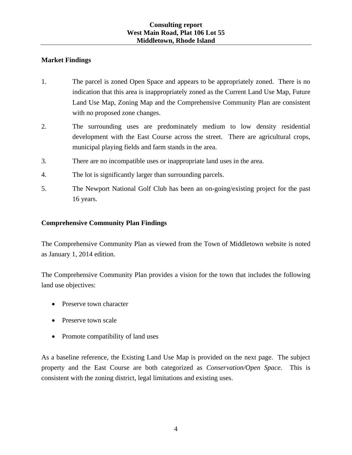## **Market Findings**

- 1. The parcel is zoned Open Space and appears to be appropriately zoned. There is no indication that this area is inappropriately zoned as the Current Land Use Map, Future Land Use Map, Zoning Map and the Comprehensive Community Plan are consistent with no proposed zone changes.
- 2. The surrounding uses are predominately medium to low density residential development with the East Course across the street. There are agricultural crops, municipal playing fields and farm stands in the area.
- 3. There are no incompatible uses or inappropriate land uses in the area.
- 4. The lot is significantly larger than surrounding parcels.
- 5. The Newport National Golf Club has been an on-going/existing project for the past 16 years.

## **Comprehensive Community Plan Findings**

The Comprehensive Community Plan as viewed from the Town of Middletown website is noted as January 1, 2014 edition.

The Comprehensive Community Plan provides a vision for the town that includes the following land use objectives:

- Preserve town character
- Preserve town scale
- Promote compatibility of land uses

As a baseline reference, the Existing Land Use Map is provided on the next page. The subject property and the East Course are both categorized as *Conservation/Open Space*. This is consistent with the zoning district, legal limitations and existing uses.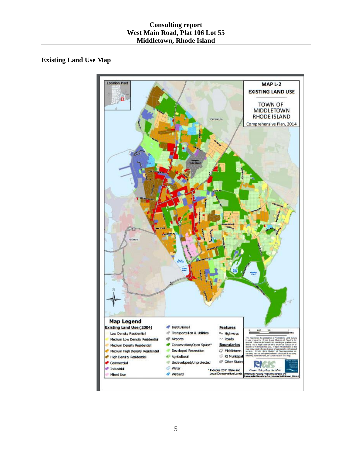# **Existing Land Use Map**

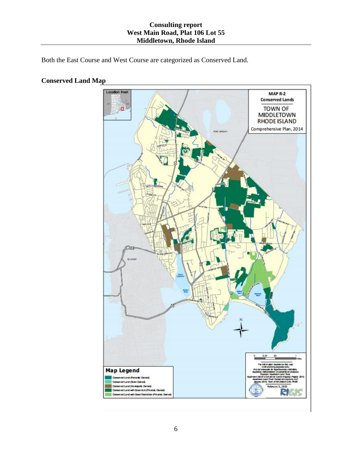Both the East Course and West Course are categorized as Conserved Land.



# **Conserved Land Map**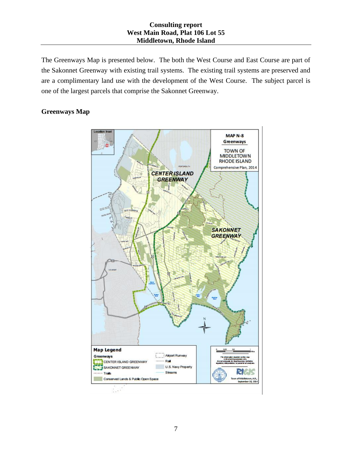The Greenways Map is presented below. The both the West Course and East Course are part of the Sakonnet Greenway with existing trail systems. The existing trail systems are preserved and are a complimentary land use with the development of the West Course. The subject parcel is one of the largest parcels that comprise the Sakonnet Greenway.

# **Greenways Map**

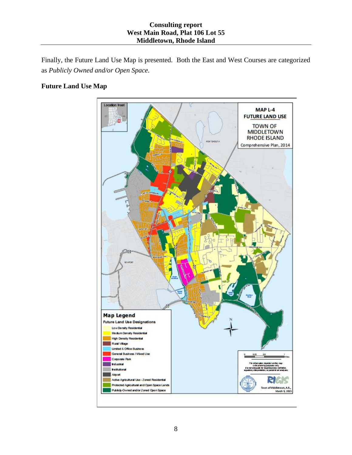Finally, the Future Land Use Map is presented. Both the East and West Courses are categorized as *Publicly Owned and/or Open Space.*

# **Future Land Use Map**

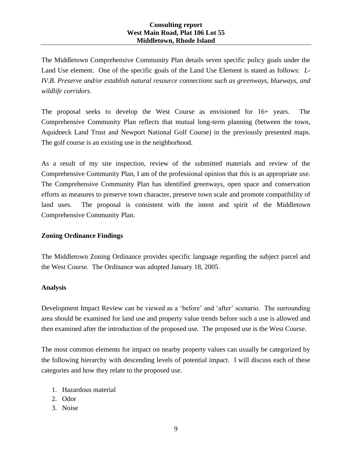The Middletown Comprehensive Community Plan details seven specific policy goals under the Land Use element. One of the specific goals of the Land Use Element is stated as follows: *L-IV.B. Preserve and/or establish natural resource connections such as greenways, blueways, and wildlife corridors*.

The proposal seeks to develop the West Course as envisioned for 16+ years. The Comprehensive Community Plan reflects that mutual long-term planning (between the town, Aquidneck Land Trust and Newport National Golf Course) in the previously presented maps. The golf course is an existing use in the neighborhood.

As a result of my site inspection, review of the submitted materials and review of the Comprehensive Community Plan, I am of the professional opinion that this is an appropriate use. The Comprehensive Community Plan has identified greenways, open space and conservation efforts as measures to preserve town character, preserve town scale and promote compatibility of land uses. The proposal is consistent with the intent and spirit of the Middletown Comprehensive Community Plan.

# **Zoning Ordinance Findings**

The Middletown Zoning Ordinance provides specific language regarding the subject parcel and the West Course. The Ordinance was adopted January 18, 2005.

## **Analysis**

Development Impact Review can be viewed as a 'before' and 'after' scenario. The surrounding area should be examined for land use and property value trends before such a use is allowed and then examined after the introduction of the proposed use. The proposed use is the West Course.

The most common elements for impact on nearby property values can usually be categorized by the following hierarchy with descending levels of potential impact. I will discuss each of these categories and how they relate to the proposed use.

- 1. Hazardous material
- 2. Odor
- 3. Noise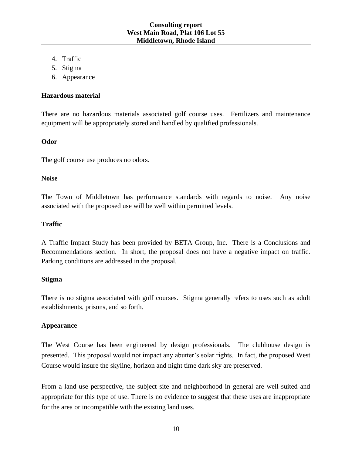- 4. Traffic
- 5. Stigma
- 6. Appearance

#### **Hazardous material**

There are no hazardous materials associated golf course uses. Fertilizers and maintenance equipment will be appropriately stored and handled by qualified professionals.

### **Odor**

The golf course use produces no odors.

#### **Noise**

The Town of Middletown has performance standards with regards to noise. Any noise associated with the proposed use will be well within permitted levels.

## **Traffic**

A Traffic Impact Study has been provided by BETA Group, Inc. There is a Conclusions and Recommendations section. In short, the proposal does not have a negative impact on traffic. Parking conditions are addressed in the proposal.

#### **Stigma**

There is no stigma associated with golf courses. Stigma generally refers to uses such as adult establishments, prisons, and so forth.

## **Appearance**

The West Course has been engineered by design professionals. The clubhouse design is presented. This proposal would not impact any abutter's solar rights. In fact, the proposed West Course would insure the skyline, horizon and night time dark sky are preserved.

From a land use perspective, the subject site and neighborhood in general are well suited and appropriate for this type of use. There is no evidence to suggest that these uses are inappropriate for the area or incompatible with the existing land uses.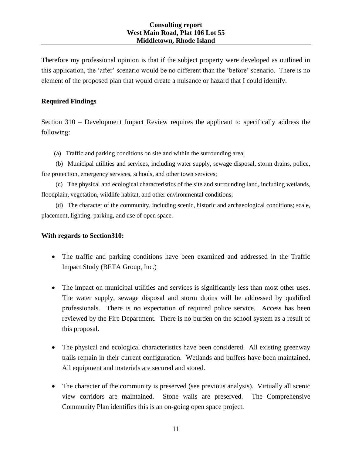Therefore my professional opinion is that if the subject property were developed as outlined in this application, the 'after' scenario would be no different than the 'before' scenario. There is no element of the proposed plan that would create a nuisance or hazard that I could identify.

## **Required Findings**

Section 310 – Development Impact Review requires the applicant to specifically address the following:

(a) Traffic and parking conditions on site and within the surrounding area;

 (b) Municipal utilities and services, including water supply, sewage disposal, storm drains, police, fire protection, emergency services, schools, and other town services;

 (c) The physical and ecological characteristics of the site and surrounding land, including wetlands, floodplain, vegetation, wildlife habitat, and other environmental conditions;

 (d) The character of the community, including scenic, historic and archaeological conditions; scale, placement, lighting, parking, and use of open space.

## **With regards to Section310:**

- The traffic and parking conditions have been examined and addressed in the Traffic Impact Study (BETA Group, Inc.)
- The impact on municipal utilities and services is significantly less than most other uses. The water supply, sewage disposal and storm drains will be addressed by qualified professionals. There is no expectation of required police service. Access has been reviewed by the Fire Department. There is no burden on the school system as a result of this proposal.
- The physical and ecological characteristics have been considered. All existing greenway trails remain in their current configuration. Wetlands and buffers have been maintained. All equipment and materials are secured and stored.
- The character of the community is preserved (see previous analysis). Virtually all scenic view corridors are maintained. Stone walls are preserved. The Comprehensive Community Plan identifies this is an on-going open space project.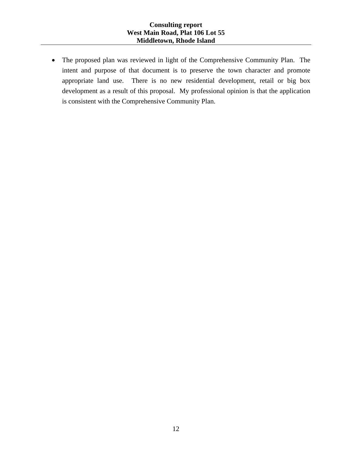• The proposed plan was reviewed in light of the Comprehensive Community Plan. The intent and purpose of that document is to preserve the town character and promote appropriate land use. There is no new residential development, retail or big box development as a result of this proposal. My professional opinion is that the application is consistent with the Comprehensive Community Plan.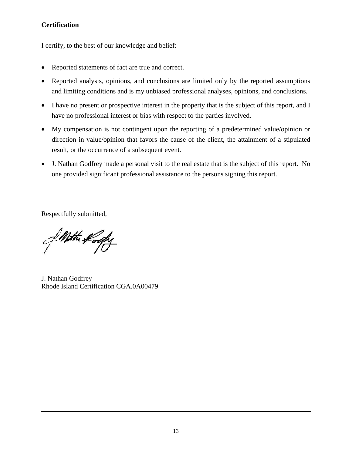I certify, to the best of our knowledge and belief:

- Reported statements of fact are true and correct.
- Reported analysis, opinions, and conclusions are limited only by the reported assumptions and limiting conditions and is my unbiased professional analyses, opinions, and conclusions.
- I have no present or prospective interest in the property that is the subject of this report, and I have no professional interest or bias with respect to the parties involved.
- My compensation is not contingent upon the reporting of a predetermined value/opinion or direction in value/opinion that favors the cause of the client, the attainment of a stipulated result, or the occurrence of a subsequent event.
- J. Nathan Godfrey made a personal visit to the real estate that is the subject of this report. No one provided significant professional assistance to the persons signing this report.

Respectfully submitted,

Mothe forgy

J. Nathan Godfrey Rhode Island Certification CGA.0A00479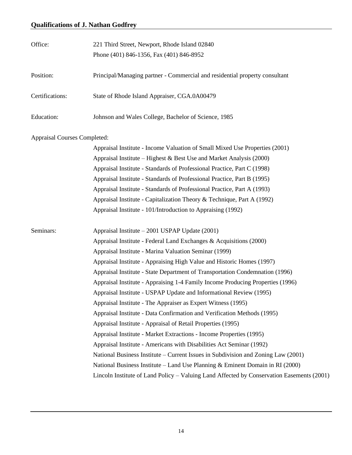| Office:                             | 221 Third Street, Newport, Rhode Island 02840<br>Phone (401) 846-1356, Fax (401) 846-8952 |
|-------------------------------------|-------------------------------------------------------------------------------------------|
| Position:                           | Principal/Managing partner - Commercial and residential property consultant               |
| Certifications:                     | State of Rhode Island Appraiser, CGA.0A00479                                              |
| Education:                          | Johnson and Wales College, Bachelor of Science, 1985                                      |
| <b>Appraisal Courses Completed:</b> |                                                                                           |
|                                     | Appraisal Institute - Income Valuation of Small Mixed Use Properties (2001)               |
|                                     | Appraisal Institute – Highest & Best Use and Market Analysis $(2000)$                     |
|                                     | Appraisal Institute - Standards of Professional Practice, Part C (1998)                   |
|                                     | Appraisal Institute - Standards of Professional Practice, Part B (1995)                   |
|                                     | Appraisal Institute - Standards of Professional Practice, Part A (1993)                   |
|                                     | Appraisal Institute - Capitalization Theory & Technique, Part A (1992)                    |
|                                     | Appraisal Institute - 101/Introduction to Appraising (1992)                               |
| Seminars:                           | Appraisal Institute – 2001 USPAP Update (2001)                                            |
|                                     | Appraisal Institute - Federal Land Exchanges & Acquisitions (2000)                        |
|                                     | Appraisal Institute - Marina Valuation Seminar (1999)                                     |
|                                     | Appraisal Institute - Appraising High Value and Historic Homes (1997)                     |
|                                     | Appraisal Institute - State Department of Transportation Condemnation (1996)              |
|                                     | Appraisal Institute - Appraising 1-4 Family Income Producing Properties (1996)            |
|                                     | Appraisal Institute - USPAP Update and Informational Review (1995)                        |
|                                     | Appraisal Institute - The Appraiser as Expert Witness (1995)                              |
|                                     | Appraisal Institute - Data Confirmation and Verification Methods (1995)                   |
|                                     | Appraisal Institute - Appraisal of Retail Properties (1995)                               |
|                                     | Appraisal Institute - Market Extractions - Income Properties (1995)                       |
|                                     | Appraisal Institute - Americans with Disabilities Act Seminar (1992)                      |
|                                     | National Business Institute – Current Issues in Subdivision and Zoning Law (2001)         |
|                                     | National Business Institute – Land Use Planning & Eminent Domain in RI (2000)             |
|                                     | Lincoln Institute of Land Policy - Valuing Land Affected by Conservation Easements (2001) |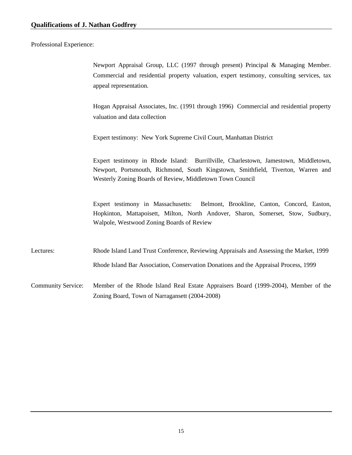Professional Experience:

| Newport Appraisal Group, LLC (1997 through present) Principal & Managing Member.          |
|-------------------------------------------------------------------------------------------|
| Commercial and residential property valuation, expert testimony, consulting services, tax |
| appeal representation.                                                                    |
|                                                                                           |
| Hogan Appraisal Associates, Inc. (1991 through 1996) Commercial and residential property  |
| valuation and data collection                                                             |

Expert testimony: New York Supreme Civil Court, Manhattan District

Expert testimony in Rhode Island: Burrillville, Charlestown, Jamestown, Middletown, Newport, Portsmouth, Richmond, South Kingstown, Smithfield, Tiverton, Warren and Westerly Zoning Boards of Review, Middletown Town Council

Expert testimony in Massachusetts: Belmont, Brookline, Canton, Concord, Easton, Hopkinton, Mattapoisett, Milton, North Andover, Sharon, Somerset, Stow, Sudbury, Walpole, Westwood Zoning Boards of Review

Lectures: Rhode Island Land Trust Conference, Reviewing Appraisals and Assessing the Market, 1999 Rhode Island Bar Association, Conservation Donations and the Appraisal Process, 1999

Community Service: Member of the Rhode Island Real Estate Appraisers Board (1999-2004), Member of the Zoning Board, Town of Narragansett (2004-2008)